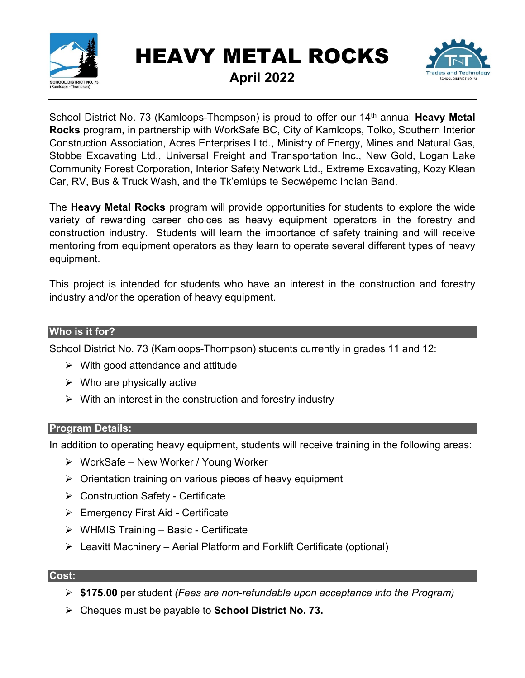

# HEAVY METAL ROCKS



**April 2022**

School District No. 73 (Kamloops-Thompson) is proud to offer our 14<sup>th</sup> annual Heavy Metal **Rocks** program, in partnership with WorkSafe BC, City of Kamloops, Tolko, Southern Interior Construction Association, Acres Enterprises Ltd., Ministry of Energy, Mines and Natural Gas, Stobbe Excavating Ltd., Universal Freight and Transportation Inc., New Gold, Logan Lake Community Forest Corporation, Interior Safety Network Ltd., Extreme Excavating, Kozy Klean Car, RV, Bus & Truck Wash, and the Tk'emlúps te Secwépemc Indian Band.

The **Heavy Metal Rocks** program will provide opportunities for students to explore the wide variety of rewarding career choices as heavy equipment operators in the forestry and construction industry. Students will learn the importance of safety training and will receive mentoring from equipment operators as they learn to operate several different types of heavy equipment.

This project is intended for students who have an interest in the construction and forestry industry and/or the operation of heavy equipment.

#### **Who is it for?**

School District No. 73 (Kamloops-Thompson) students currently in grades 11 and 12:

- $\triangleright$  With good attendance and attitude
- $\triangleright$  Who are physically active
- $\triangleright$  With an interest in the construction and forestry industry

#### **Program Details:**

In addition to operating heavy equipment, students will receive training in the following areas:

- WorkSafe New Worker / Young Worker
- $\triangleright$  Orientation training on various pieces of heavy equipment
- Construction Safety Certificate
- $\triangleright$  Emergency First Aid Certificate
- $\triangleright$  WHMIS Training Basic Certificate
- $\triangleright$  Leavitt Machinery Aerial Platform and Forklift Certificate (optional)

#### **Cost:**

- **\$175.00** per student *(Fees are non-refundable upon acceptance into the Program)*
- Cheques must be payable to **School District No. 73.**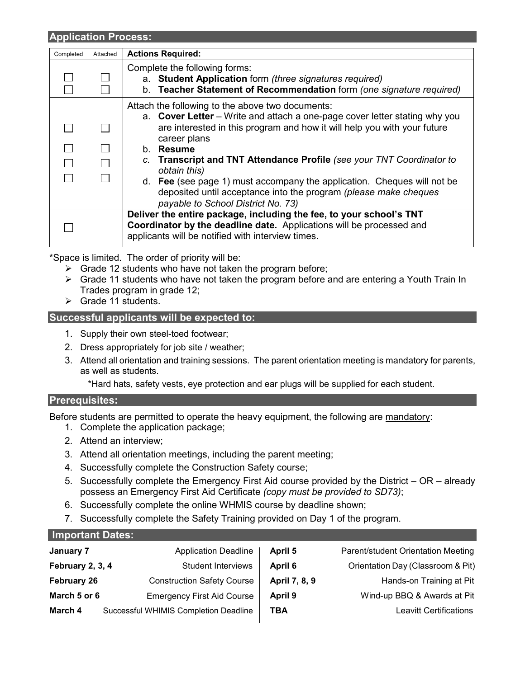#### **Application Process:**

| Completed | Attached | <b>Actions Required:</b>                                                                                                                                                                                                                                                                                                                                                                                    |
|-----------|----------|-------------------------------------------------------------------------------------------------------------------------------------------------------------------------------------------------------------------------------------------------------------------------------------------------------------------------------------------------------------------------------------------------------------|
|           |          | Complete the following forms:<br>a. Student Application form (three signatures required)<br>b. Teacher Statement of Recommendation form (one signature required)                                                                                                                                                                                                                                            |
|           | $\Box$   | Attach the following to the above two documents:<br>a. Cover Letter – Write and attach a one-page cover letter stating why you<br>are interested in this program and how it will help you with your future<br>career plans<br>b. Resume<br>c. Transcript and TNT Attendance Profile (see your TNT Coordinator to<br>obtain this)<br>d. Fee (see page 1) must accompany the application. Cheques will not be |
|           |          | deposited until acceptance into the program (please make cheques<br>payable to School District No. 73)                                                                                                                                                                                                                                                                                                      |
|           |          | Deliver the entire package, including the fee, to your school's TNT<br>Coordinator by the deadline date. Applications will be processed and<br>applicants will be notified with interview times.                                                                                                                                                                                                            |

\*Space is limited. The order of priority will be:

- $\triangleright$  Grade 12 students who have not taken the program before;
- $\triangleright$  Grade 11 students who have not taken the program before and are entering a Youth Train In Trades program in grade 12;
- $\triangleright$  Grade 11 students.

#### **Successful applicants will be expected to:**

- 1. Supply their own steel-toed footwear;
- 2. Dress appropriately for job site / weather;
- 3. Attend all orientation and training sessions. The parent orientation meeting is mandatory for parents, as well as students.

\*Hard hats, safety vests, eye protection and ear plugs will be supplied for each student.

#### **Prerequisites:**

Before students are permitted to operate the heavy equipment, the following are mandatory:

- 1. Complete the application package;
- 2. Attend an interview;
- 3. Attend all orientation meetings, including the parent meeting;
- 4. Successfully complete the Construction Safety course;
- 5. Successfully complete the Emergency First Aid course provided by the District OR already possess an Emergency First Aid Certificate *(copy must be provided to SD73)*;
- 6. Successfully complete the online WHMIS course by deadline shown;
- 7. Successfully complete the Safety Training provided on Day 1 of the program.

| Important Dates:   |                                       |               |                                    |  |  |  |
|--------------------|---------------------------------------|---------------|------------------------------------|--|--|--|
| January 7          | <b>Application Deadline</b>           | April 5       | Parent/student Orientation Meeting |  |  |  |
| February 2, 3, 4   | <b>Student Interviews</b>             | April 6       | Orientation Day (Classroom & Pit)  |  |  |  |
| <b>February 26</b> | <b>Construction Safety Course</b>     | April 7, 8, 9 | Hands-on Training at Pit           |  |  |  |
| March 5 or 6       | <b>Emergency First Aid Course</b>     | April 9       | Wind-up BBQ & Awards at Pit        |  |  |  |
| March 4            | Successful WHIMIS Completion Deadline | TBA           | <b>Leavitt Certifications</b>      |  |  |  |
|                    |                                       |               |                                    |  |  |  |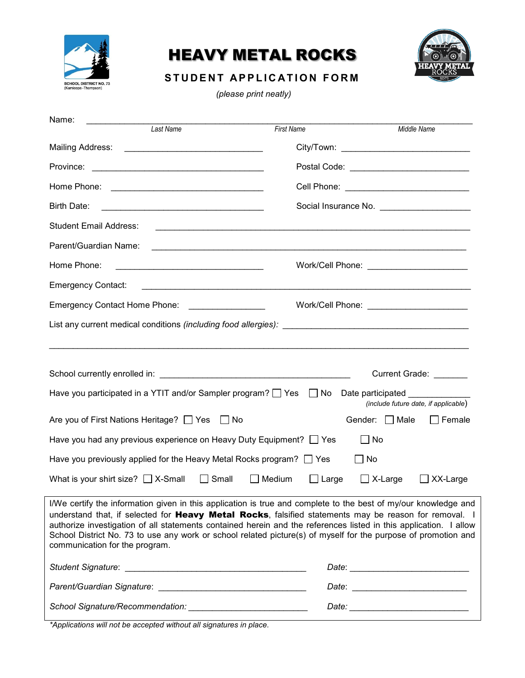

## HEAVY METAL ROCKS



### **STUDENT APPLICATION FORM**

*(please print neatly)*

| Name:                                                                                                                                                                                                                                                                                                                                                                                                                                                                                                     |                                             |                                             |  |  |  |
|-----------------------------------------------------------------------------------------------------------------------------------------------------------------------------------------------------------------------------------------------------------------------------------------------------------------------------------------------------------------------------------------------------------------------------------------------------------------------------------------------------------|---------------------------------------------|---------------------------------------------|--|--|--|
| Last Name                                                                                                                                                                                                                                                                                                                                                                                                                                                                                                 | <b>First Name</b>                           | Middle Name                                 |  |  |  |
|                                                                                                                                                                                                                                                                                                                                                                                                                                                                                                           |                                             | City/Town: ________________________________ |  |  |  |
| Province:                                                                                                                                                                                                                                                                                                                                                                                                                                                                                                 |                                             |                                             |  |  |  |
|                                                                                                                                                                                                                                                                                                                                                                                                                                                                                                           | Cell Phone: _______________________________ |                                             |  |  |  |
| Birth Date:                                                                                                                                                                                                                                                                                                                                                                                                                                                                                               | Social Insurance No. ______________________ |                                             |  |  |  |
| <b>Student Email Address:</b>                                                                                                                                                                                                                                                                                                                                                                                                                                                                             |                                             |                                             |  |  |  |
| Parent/Guardian Name:                                                                                                                                                                                                                                                                                                                                                                                                                                                                                     |                                             |                                             |  |  |  |
| Home Phone:                                                                                                                                                                                                                                                                                                                                                                                                                                                                                               |                                             |                                             |  |  |  |
| <b>Emergency Contact:</b>                                                                                                                                                                                                                                                                                                                                                                                                                                                                                 |                                             |                                             |  |  |  |
| Emergency Contact Home Phone: [19] Decree Contact Home Phone:                                                                                                                                                                                                                                                                                                                                                                                                                                             |                                             |                                             |  |  |  |
|                                                                                                                                                                                                                                                                                                                                                                                                                                                                                                           |                                             |                                             |  |  |  |
|                                                                                                                                                                                                                                                                                                                                                                                                                                                                                                           |                                             |                                             |  |  |  |
|                                                                                                                                                                                                                                                                                                                                                                                                                                                                                                           |                                             | Current Grade: _______                      |  |  |  |
| Have you participated in a YTIT and/or Sampler program? $\Box$ Yes $\Box$ No                                                                                                                                                                                                                                                                                                                                                                                                                              |                                             | Date participated                           |  |  |  |
|                                                                                                                                                                                                                                                                                                                                                                                                                                                                                                           |                                             | (include future date, if applicable)        |  |  |  |
| Are you of First Nations Heritage? □ Yes □ No                                                                                                                                                                                                                                                                                                                                                                                                                                                             |                                             | Gender: $\Box$ Male<br>Female               |  |  |  |
| Have you had any previous experience on Heavy Duty Equipment? <sup>7</sup> Yes                                                                                                                                                                                                                                                                                                                                                                                                                            |                                             | $\Box$ No                                   |  |  |  |
| Have you previously applied for the Heavy Metal Rocks program? $\Box$ Yes                                                                                                                                                                                                                                                                                                                                                                                                                                 | ∐ No                                        |                                             |  |  |  |
| $\Box$ Small<br>What is your shirt size? $\Box$ X-Small                                                                                                                                                                                                                                                                                                                                                                                                                                                   | $\Box$ Medium<br>$\Box$ Large               | $\Box$ X-Large<br>XX-Large                  |  |  |  |
| I/We certify the information given in this application is true and complete to the best of my/our knowledge and<br>understand that, if selected for <b>Heavy Metal Rocks</b> , falsified statements may be reason for removal. I<br>authorize investigation of all statements contained herein and the references listed in this application. I allow<br>School District No. 73 to use any work or school related picture(s) of myself for the purpose of promotion and<br>communication for the program. |                                             |                                             |  |  |  |
|                                                                                                                                                                                                                                                                                                                                                                                                                                                                                                           |                                             |                                             |  |  |  |
|                                                                                                                                                                                                                                                                                                                                                                                                                                                                                                           |                                             |                                             |  |  |  |
| School Signature/Recommendation: National Action of the School Signature                                                                                                                                                                                                                                                                                                                                                                                                                                  |                                             |                                             |  |  |  |

*\*Applications will not be accepted without all signatures in place.*